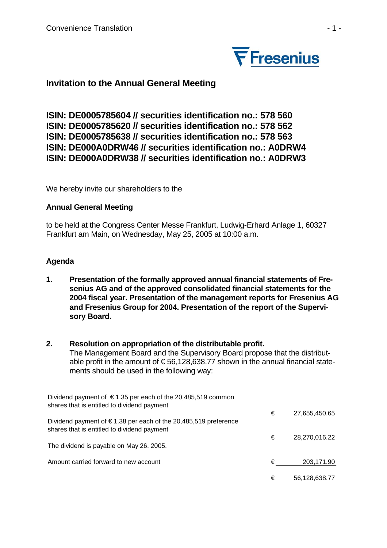

# **Invitation to the Annual General Meeting**

**ISIN: DE0005785604 // securities identification no.: 578 560 ISIN: DE0005785620 // securities identification no.: 578 562 ISIN: DE0005785638 // securities identification no.: 578 563 ISIN: DE000A0DRW46 // securities identification no.: A0DRW4 ISIN: DE000A0DRW38 // securities identification no.: A0DRW3** 

We hereby invite our shareholders to the

### **Annual General Meeting**

to be held at the Congress Center Messe Frankfurt, Ludwig-Erhard Anlage 1, 60327 Frankfurt am Main, on Wednesday, May 25, 2005 at 10:00 a.m.

#### **Agenda**

**1. Presentation of the formally approved annual financial statements of Fresenius AG and of the approved consolidated financial statements for the 2004 fiscal year. Presentation of the management reports for Fresenius AG and Fresenius Group for 2004. Presentation of the report of the Supervisory Board.** 

#### **2. Resolution on appropriation of the distributable profit.**

The Management Board and the Supervisory Board propose that the distributable profit in the amount of  $\epsilon$  56,128,638.77 shown in the annual financial statements should be used in the following way:

| Dividend payment of $\epsilon$ 1.35 per each of the 20,485,519 common<br>shares that is entitled to dividend payment |   |               |
|----------------------------------------------------------------------------------------------------------------------|---|---------------|
| Dividend payment of $\epsilon$ 1.38 per each of the 20,485,519 preference                                            | € | 27,655,450.65 |
| shares that is entitled to dividend payment                                                                          | € | 28,270,016.22 |
| The dividend is payable on May 26, 2005.                                                                             |   |               |
| Amount carried forward to new account                                                                                | € | 203,171.90    |
|                                                                                                                      | € | 56,128,638.77 |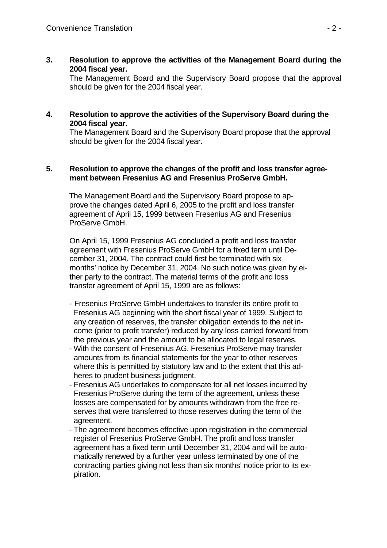**3. Resolution to approve the activities of the Management Board during the 2004 fiscal year.** 

The Management Board and the Supervisory Board propose that the approval should be given for the 2004 fiscal year.

**4. Resolution to approve the activities of the Supervisory Board during the 2004 fiscal year.** 

The Management Board and the Supervisory Board propose that the approval should be given for the 2004 fiscal year.

#### **5. Resolution to approve the changes of the profit and loss transfer agreement between Fresenius AG and Fresenius ProServe GmbH.**

The Management Board and the Supervisory Board propose to approve the changes dated April 6, 2005 to the profit and loss transfer agreement of April 15, 1999 between Fresenius AG and Fresenius ProServe GmbH.

 On April 15, 1999 Fresenius AG concluded a profit and loss transfer agreement with Fresenius ProServe GmbH for a fixed term until December 31, 2004. The contract could first be terminated with six months' notice by December 31, 2004. No such notice was given by either party to the contract. The material terms of the profit and loss transfer agreement of April 15, 1999 are as follows:

- Fresenius ProServe GmbH undertakes to transfer its entire profit to Fresenius AG beginning with the short fiscal year of 1999. Subject to any creation of reserves, the transfer obligation extends to the net income (prior to profit transfer) reduced by any loss carried forward from the previous year and the amount to be allocated to legal reserves.
- With the consent of Fresenius AG, Fresenius ProServe may transfer amounts from its financial statements for the year to other reserves where this is permitted by statutory law and to the extent that this adheres to prudent business judgment.
- Fresenius AG undertakes to compensate for all net losses incurred by Fresenius ProServe during the term of the agreement, unless these losses are compensated for by amounts withdrawn from the free reserves that were transferred to those reserves during the term of the agreement.
- The agreement becomes effective upon registration in the commercial register of Fresenius ProServe GmbH. The profit and loss transfer agreement has a fixed term until December 31, 2004 and will be automatically renewed by a further year unless terminated by one of the contracting parties giving not less than six months' notice prior to its expiration.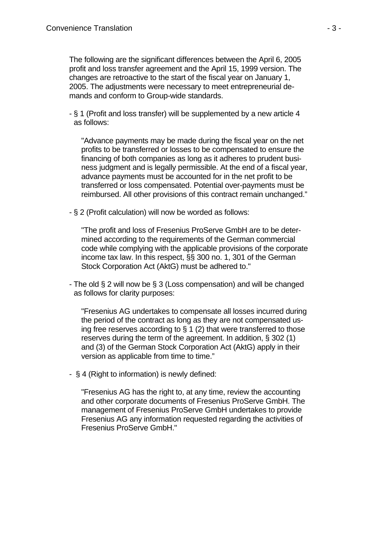The following are the significant differences between the April 6, 2005 profit and loss transfer agreement and the April 15, 1999 version. The changes are retroactive to the start of the fiscal year on January 1, 2005. The adjustments were necessary to meet entrepreneurial demands and conform to Group-wide standards.

- § 1 (Profit and loss transfer) will be supplemented by a new article 4 as follows:

"Advance payments may be made during the fiscal year on the net profits to be transferred or losses to be compensated to ensure the financing of both companies as long as it adheres to prudent business judgment and is legally permissible. At the end of a fiscal year, advance payments must be accounted for in the net profit to be transferred or loss compensated. Potential over-payments must be reimbursed. All other provisions of this contract remain unchanged."

- § 2 (Profit calculation) will now be worded as follows:

"The profit and loss of Fresenius ProServe GmbH are to be determined according to the requirements of the German commercial code while complying with the applicable provisions of the corporate income tax law. In this respect, §§ 300 no. 1, 301 of the German Stock Corporation Act (AktG) must be adhered to."

- The old § 2 will now be § 3 (Loss compensation) and will be changed as follows for clarity purposes:

 "Fresenius AG undertakes to compensate all losses incurred during the period of the contract as long as they are not compensated using free reserves according to  $\S 1$  (2) that were transferred to those reserves during the term of the agreement. In addition, § 302 (1) and (3) of the German Stock Corporation Act (AktG) apply in their version as applicable from time to time."

- § 4 (Right to information) is newly defined:

 "Fresenius AG has the right to, at any time, review the accounting and other corporate documents of Fresenius ProServe GmbH. The management of Fresenius ProServe GmbH undertakes to provide Fresenius AG any information requested regarding the activities of Fresenius ProServe GmbH."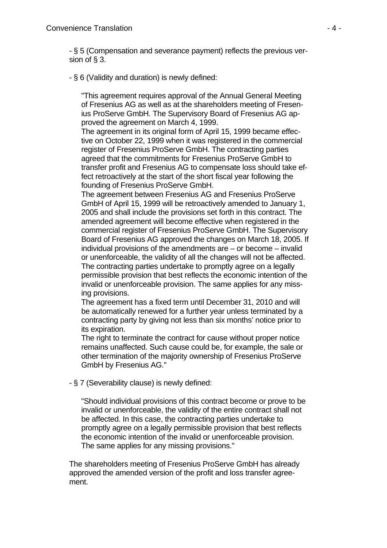- § 5 (Compensation and severance payment) reflects the previous version of § 3.

- § 6 (Validity and duration) is newly defined:

 "This agreement requires approval of the Annual General Meeting of Fresenius AG as well as at the shareholders meeting of Fresenius ProServe GmbH. The Supervisory Board of Fresenius AG approved the agreement on March 4, 1999.

 The agreement in its original form of April 15, 1999 became effective on October 22, 1999 when it was registered in the commercial register of Fresenius ProServe GmbH. The contracting parties agreed that the commitments for Fresenius ProServe GmbH to transfer profit and Fresenius AG to compensate loss should take effect retroactively at the start of the short fiscal year following the founding of Fresenius ProServe GmbH.

 The agreement between Fresenius AG and Fresenius ProServe GmbH of April 15, 1999 will be retroactively amended to January 1, 2005 and shall include the provisions set forth in this contract. The amended agreement will become effective when registered in the commercial register of Fresenius ProServe GmbH. The Supervisory Board of Fresenius AG approved the changes on March 18, 2005. If individual provisions of the amendments are – or become – invalid or unenforceable, the validity of all the changes will not be affected. The contracting parties undertake to promptly agree on a legally permissible provision that best reflects the economic intention of the invalid or unenforceable provision. The same applies for any missing provisions.

 The agreement has a fixed term until December 31, 2010 and will be automatically renewed for a further year unless terminated by a contracting party by giving not less than six months' notice prior to its expiration.

 The right to terminate the contract for cause without proper notice remains unaffected. Such cause could be, for example, the sale or other termination of the majority ownership of Fresenius ProServe GmbH by Fresenius AG."

- § 7 (Severability clause) is newly defined:

 "Should individual provisions of this contract become or prove to be invalid or unenforceable, the validity of the entire contract shall not be affected. In this case, the contracting parties undertake to promptly agree on a legally permissible provision that best reflects the economic intention of the invalid or unenforceable provision. The same applies for any missing provisions."

The shareholders meeting of Fresenius ProServe GmbH has already approved the amended version of the profit and loss transfer agreement.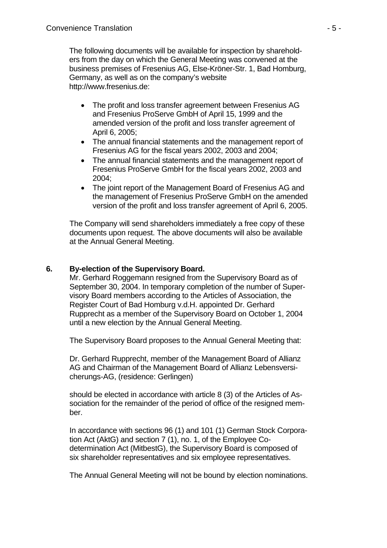The following documents will be available for inspection by shareholders from the day on which the General Meeting was convened at the business premises of Fresenius AG, Else-Kröner-Str. 1, Bad Homburg, Germany, as well as on the company's website [http://www.fresenius.de:](http://www.fresenius.de/)

- The profit and loss transfer agreement between Fresenius AG and Fresenius ProServe GmbH of April 15, 1999 and the amended version of the profit and loss transfer agreement of April 6, 2005;
- The annual financial statements and the management report of Fresenius AG for the fiscal years 2002, 2003 and 2004;
- The annual financial statements and the management report of Fresenius ProServe GmbH for the fiscal years 2002, 2003 and 2004;
- The joint report of the Management Board of Fresenius AG and the management of Fresenius ProServe GmbH on the amended version of the profit and loss transfer agreement of April 6, 2005.

The Company will send shareholders immediately a free copy of these documents upon request. The above documents will also be available at the Annual General Meeting.

### **6. By-election of the Supervisory Board.**

Mr. Gerhard Roggemann resigned from the Supervisory Board as of September 30, 2004. In temporary completion of the number of Supervisory Board members according to the Articles of Association, the Register Court of Bad Homburg v.d.H. appointed Dr. Gerhard Rupprecht as a member of the Supervisory Board on October 1, 2004 until a new election by the Annual General Meeting.

The Supervisory Board proposes to the Annual General Meeting that:

Dr. Gerhard Rupprecht, member of the Management Board of Allianz AG and Chairman of the Management Board of Allianz Lebensversicherungs-AG, (residence: Gerlingen)

should be elected in accordance with article 8 (3) of the Articles of Association for the remainder of the period of office of the resigned member.

In accordance with sections 96 (1) and 101 (1) German Stock Corporation Act (AktG) and section 7 (1), no. 1, of the Employee Codetermination Act (MitbestG), the Supervisory Board is composed of six shareholder representatives and six employee representatives.

The Annual General Meeting will not be bound by election nominations.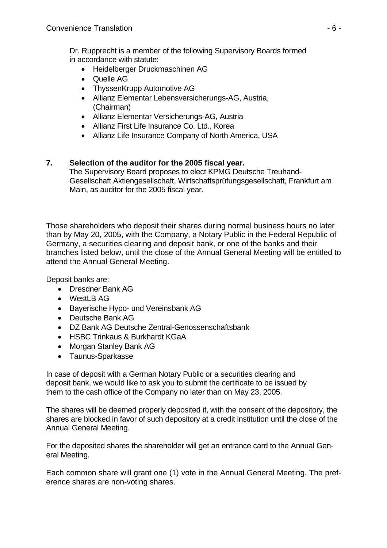Dr. Rupprecht is a member of the following Supervisory Boards formed in accordance with statute:

- Heidelberger Druckmaschinen AG
- Quelle AG
- ThyssenKrupp Automotive AG
- Allianz Elementar Lebensversicherungs-AG, Austria, (Chairman)
- Allianz Elementar Versicherungs-AG, Austria
- Allianz First Life Insurance Co. Ltd., Korea
- Allianz Life Insurance Company of North America, USA

## **7. Selection of the auditor for the 2005 fiscal year.**

The Supervisory Board proposes to elect KPMG Deutsche Treuhand-Gesellschaft Aktiengesellschaft, Wirtschaftsprüfungsgesellschaft, Frankfurt am Main, as auditor for the 2005 fiscal year.

Those shareholders who deposit their shares during normal business hours no later than by May 20, 2005, with the Company, a Notary Public in the Federal Republic of Germany, a securities clearing and deposit bank, or one of the banks and their branches listed below, until the close of the Annual General Meeting will be entitled to attend the Annual General Meeting.

Deposit banks are:

- Dresdner Bank AG
- WestLB AG
- Bayerische Hypo- und Vereinsbank AG
- Deutsche Bank AG
- DZ Bank AG Deutsche Zentral-Genossenschaftsbank
- HSBC Trinkaus & Burkhardt KGaA
- Morgan Stanley Bank AG
- Taunus-Sparkasse

In case of deposit with a German Notary Public or a securities clearing and deposit bank, we would like to ask you to submit the certificate to be issued by them to the cash office of the Company no later than on May 23, 2005.

The shares will be deemed properly deposited if, with the consent of the depository, the shares are blocked in favor of such depository at a credit institution until the close of the Annual General Meeting.

For the deposited shares the shareholder will get an entrance card to the Annual General Meeting.

Each common share will grant one (1) vote in the Annual General Meeting. The preference shares are non-voting shares.